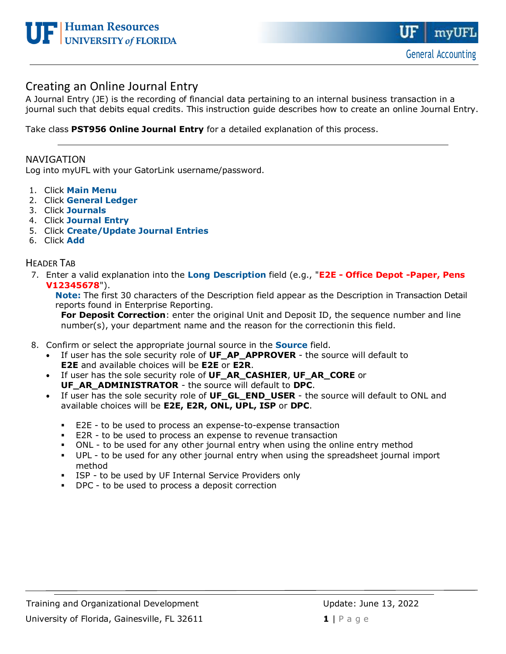

# Creating an Online Journal Entry

A Journal Entry (JE) is the recording of financial data pertaining to an internal business transaction in a journal such that debits equal credits. This instruction guide describes how to create an online Journal Entry.

Take class **PST956 Online Journal Entry** for a detailed explanation of this process.

### NAVIGATION

Log into myUFL with your GatorLink username/password.

- 1. Click **Main Menu**
- 2. Click **General Ledger**
- 3. Click **Journals**
- 4. Click **Journal Entry**
- 5. Click **Create/Update Journal Entries**
- 6. Click **Add**

### HEADER TAB

7. Enter a valid explanation into the **Long Description** field (e.g., "**E2E - Office Depot -Paper, Pens V12345678**").

**Note:** The first 30 characters of the Description field appear as the Description in Transaction Detail reports found in Enterprise Reporting.

**For Deposit Correction**: enter the original Unit and Deposit ID, the sequence number and line number(s), your department name and the reason for the correctionin this field.

- 8. Confirm or select the appropriate journal source in the **Source** field.
	- If user has the sole security role of **UF\_AP\_APPROVER** the source will default to **E2E** and available choices will be **E2E** or **E2R**.
	- If user has the sole security role of **UF\_AR\_CASHIER**, **UF\_AR\_CORE** or **UF\_AR\_ADMINISTRATOR** - the source will default to **DPC**.
	- If user has the sole security role of **UF\_GL\_END\_USER**  the source will default to ONL and available choices will be **E2E, E2R, ONL, UPL, ISP** or **DPC**.
		- E2E to be used to process an expense-to-expense transaction
		- E2R to be used to process an expense to revenue transaction
		- **•** ONL to be used for any other journal entry when using the online entry method
		- UPL to be used for any other journal entry when using the spreadsheet journal import method
		- **EXECT:** ISP to be used by UF Internal Service Providers only
		- DPC to be used to process a deposit correction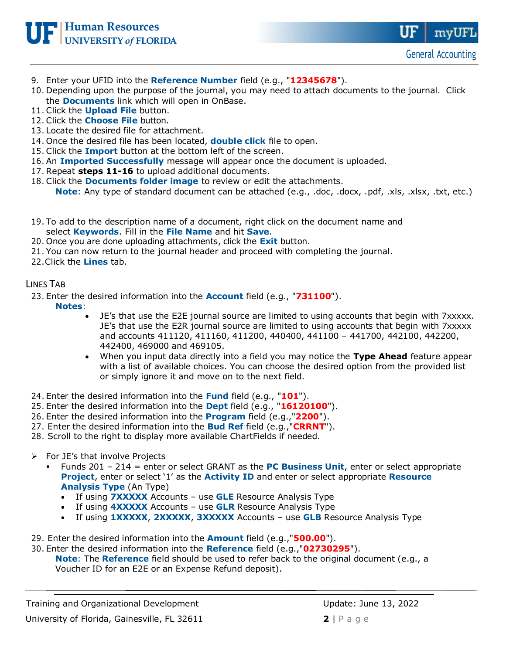

- 9. Enter your UFID into the **Reference Number** field (e.g., "**12345678**").
- 10. Depending upon the purpose of the journal, you may need to attach documents to the journal. Click the **Documents** link which will open in OnBase.
- 11. Click the **Upload File** button.
- 12. Click the **Choose File** button.
- 13. Locate the desired file for attachment.
- 14. Once the desired file has been located, **double click** file to open.
- 15. Click the **Import** button at the bottom left of the screen.
- 16. An **Imported Successfully** message will appear once the document is uploaded.
- 17. Repeat **steps 11-16** to upload additional documents.
- 18. Click the **Documents folder image** to review or edit the attachments. **Note**: Any type of standard document can be attached (e.g., .doc, .docx, .pdf, .xls, .xlsx, .txt, etc.)
- 19. To add to the description name of a document, right click on the document name and select **Keywords**. Fill in the **File Name** and hit **Save**.
- 20. Once you are done uploading attachments, click the **Exit** button.
- 21. You can now return to the journal header and proceed with completing the journal.

22.Click the **Lines** tab.

## LINES TAB

23. Enter the desired information into the **Account** field (e.g., "**731100**").

**Notes**:

- JE's that use the E2E journal source are limited to using accounts that begin with 7xxxxx. JE's that use the E2R journal source are limited to using accounts that begin with 7xxxxx and accounts 411120, 411160, 411200, 440400, 441100 – 441700, 442100, 442200, 442400, 469000 and 469105.
- When you input data directly into a field you may notice the **Type Ahead** feature appear with a list of available choices. You can choose the desired option from the provided list or simply ignore it and move on to the next field.
- 24. Enter the desired information into the **Fund** field (e.g., "**101**").
- 25. Enter the desired information into the **Dept** field (e.g., "**16120100**").
- 26. Enter the desired information into the **Program** field (e.g.,"**2200**").
- 27. Enter the desired information into the **Bud Ref** field (e.g.,"**CRRNT**").
- 28. Scroll to the right to display more available ChartFields if needed.
- $\triangleright$  For JE's that involve Projects
	- Funds 201 214 = enter or select GRANT as the **PC Business Unit**, enter or select appropriate **Project**, enter or select '1' as the **Activity ID** and enter or select appropriate **Resource Analysis Type** (An Type)
		- If using **7XXXXX** Accounts use **GLE** Resource Analysis Type
		- If using **4XXXXX** Accounts use **GLR** Resource Analysis Type
		- If using **1XXXXX**, **2XXXXX**, **3XXXXX** Accounts use **GLB** Resource Analysis Type
- 29. Enter the desired information into the **Amount** field (e.g.,"**500.00**").
- 30. Enter the desired information into the **Reference** field (e.g.,"**02730295**"). **Note**: The **Reference** field should be used to refer back to the original document (e.g., a Voucher ID for an E2E or an Expense Refund deposit).